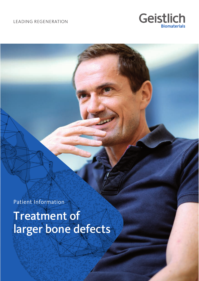**LEADING REGENERATION** 



Patient Information

Treatment of larger bone defects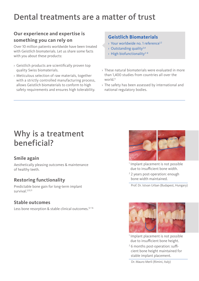# Dental treatments are a matter of trust

### **Our experience and expertise is something you can rely on**

Over 10 million patients worldwide have been treated with Geistlich biomaterials. Let us share some facts with you about these products:

- $\rightarrow$  Geistlich products are scientifically proven top quality Swiss biomaterials.
- › Meticulous selection of raw materials, together with a strictly controlled manufacturing process, allows Geistlich biomaterials to conform to high safety requirements and ensures high tolerability.

### **Geistlich Biomaterials**

- › Your worldwide no. 1 reference<sup>1</sup>,<sup>2</sup>
- $\rightarrow$  Outstanding quality<sup>3,4</sup>
- $\rightarrow$  High biofunctionality<sup>5-8</sup>
- › These natural biomaterials were evaluated in more than 1,400 studies from countries all over the world<sup>9</sup>
- › The safety has been assessed by international and national regulatory bodies.

# Why is a treatment beneficial?

### **Smile again**

Aesthetically pleasing outcomes & maintenance of healthy teeth.

### **Restoring functionality**

Predictable bone gain for long-term implant survival.<sup>5,10,11</sup>

### **Stable outcomes**

Less bone resorption & stable clinical outcomes.<sup>12-16</sup>



<sup>1</sup> Implant placement is not possible due to insufficient bone width.

<sup>2</sup> 2 years post-operation: enough bone width maintained.

Prof. Dr. Istvan Urban (Budapest, Hungary)



<sup>1</sup> Implant placement is not possible due to insufficient bone height.

<sup>2</sup> 6 months post-operation: sufficient bone height maintained for stable implant placement.

Dr. Mauro Merli (Rimini, Italy)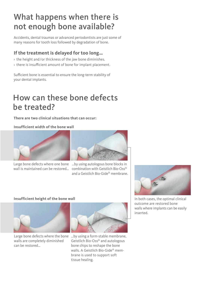# What happens when there is not enough bone available?

Accidents, dental traumas or advanced periodontists are just some of many reasons for tooth loss followed by degradation of bone.

### **If the treatment is delayed for too long…**

- › the height and/or thickness of the jaw bone diminishes.
- $\rightarrow$  there is insufficient amount of bone for implant placement.

Sufficient bone is essential to ensure the long-term stability of your dental implants.

### How can these bone defects be treated?

**There are two clinical situations that can occur:**

#### **Insufficient width of the bone wall**





Large bone defects where one bone ...by using autologous bone blocks in wall is maintained can be restored… combination with Geistlich Bio-Oss® and a Geistlich Bio-Gide® membrane.



#### **Insufficient height of the bone wall Insufficient height of the bone wall In both cases**, the optimal clinical



walls are completely diminished can be restored…



Large bone defects where the bone …by using a form-stable membrane, Geistlich Bio-Oss® and autologous bone chips to reshape the bone walls. A Geistlich Bio-Gide® membrane is used to support soft tissue healing.

outcome are restored bone walls where implants can be easily inserted.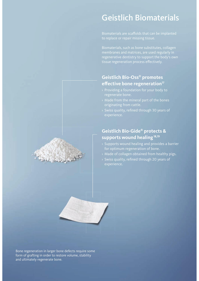### Geistlich Biomaterials

Biomaterials are scaffolds that can be implanted to replace or repair missing tissue.

Biomaterials, such as bone substitutes, collagen membranes and matrices, are used regularly in regenerative dentistry to support the body's own tissue regeneration process effectively.

#### **Geistlich Bio-Oss® promotes eff ective bone regeneration<sup>17</sup>**

- › Providing a foundation for your body to regenerate bone.
- › Made from the mineral part of the bones originating from cattle.
- $\rightarrow$  Swiss quality, refined through 30 years of experience.

#### **Geistlich Bio-Gide® protects & supports wound healing<sup>18</sup>,<sup>19</sup>**

- › Supports wound healing and provides a barrier for optimum regeneration of bone.
- › Made of collagen obtained from healthy pigs.
- $\rightarrow$  Swiss quality, refined through 20 years of experience.



Bone regeneration in larger bone defects require some form of grafting in order to restore volume, stability and ultimately regenerate bone.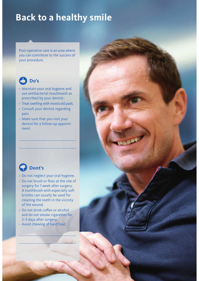# **Back to a healthy smile**

Post-operative care is an area where you can contribute to the success of your procedure.



- › Maintain your oral hygiene and use antibacterial mouthwash as prescribed by your dentist.
- › Treat swelling with moistcold pads.
- › Consult your dentist regarding pain.
- › Make sure that you visit your dentist for a follow-up appointment.



- › Do not neglect your oral hygiene.
- > Do not brush or floss at the site of surgery for 1 week after surgery. A toothbrush with especially soft bristles can usually be used for cleaning the teeth in the vicinity of the wound.
- > Do not drink coffee or alcohol and do not smoke cigarettes for 2–3 days after surgery.
- › Avoid chewing of hard food.